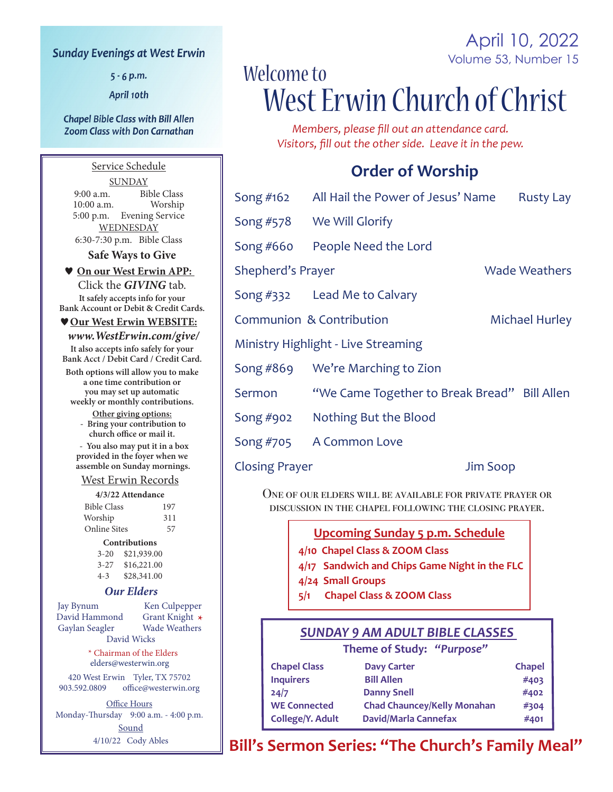#### **Sunday Evenings at West Erwin**

 $5 - 6$  p.m.

April 10th

#### **Chapel Bible Class with Bill Allen Zoom Class with Don Carnathan**

Service Schedule **SUNDAY** 9:00 a.m. Bible Class<br>10:00 a.m. Worship  $10:00$  a.m. 5:00 p.m. Evening Service WEDNESDAY 6:30-7:30 p.m. Bible Class

**Safe Ways to Give**

 **On our West Erwin APP:**  Click the *GIVING* tab. **It safely accepts info for your Bank Account or Debit & Credit Cards.**

#### **Our West Erwin WEBSITE:**

 *www.WestErwin.com/give/* **It also accepts info safely for your Bank Acct / Debit Card / Credit Card.**

**Both options will allow you to make a one time contribution or you may set up automatic weekly or monthly contributions.**

**Other giving options: - Bring your contribution to** 

**church office or mail it. - You also may put it in a box** 

**provided in the foyer when we assemble on Sunday mornings.**

#### West Erwin Records

| 4/3/22 Attendance   |     |
|---------------------|-----|
| <b>Bible Class</b>  | 197 |
| Worship             | 311 |
| <b>Online Sites</b> | 57  |

#### **Contributions**

| 3-20 | \$21,939.00 |
|------|-------------|
| 3-27 | \$16,221.00 |
| 4-3  | \$28,341.00 |

#### *Our Elders*

Jay Bynum Ken Culpepper David Hammond Grant Knight **\*** Gaylan Seagler

David Wicks \* Chairman of the Elders elders@westerwin.org

420 West Erwin Tyler, TX 75702<br>903.592.0809 office@westerwin.o office@westerwin.org

**Office Hours** Monday-Thursday 9:00 a.m. - 4:00 p.m. **Sound** 4/10/22 Cody Ables

# Volume 53, Number 15 Welcome to West Erwin Church of Christ

April 10, 2022

*Members, please fill out an attendance card. Visitors, fill out the other side. Leave it in the pew.*

## **Order of Worship**

|                                     | Song #162 All Hail the Power of Jesus' Name  |                 | <b>Rusty Lay</b>      |
|-------------------------------------|----------------------------------------------|-----------------|-----------------------|
|                                     | Song #578 We Will Glorify                    |                 |                       |
| Song $#660$                         | People Need the Lord                         |                 |                       |
| Shepherd's Prayer                   |                                              |                 | <b>Wade Weathers</b>  |
|                                     | Song #332 Lead Me to Calvary                 |                 |                       |
|                                     | Communion & Contribution                     |                 | <b>Michael Hurley</b> |
| Ministry Highlight - Live Streaming |                                              |                 |                       |
|                                     | Song #869 We're Marching to Zion             |                 |                       |
| Sermon                              | "We Came Together to Break Bread" Bill Allen |                 |                       |
| Song #902                           | Nothing But the Blood                        |                 |                       |
| Song #705                           | A Common Love                                |                 |                       |
| <b>Closing Prayer</b>               |                                              | <b>Jim Soop</b> |                       |

One of our elders will be available for private prayer or discussion in the chapel following the closing prayer.

#### **Upcoming Sunday 5 p.m. Schedule**

- **4/10 Chapel Class & ZOOM Class**
- **4/17 Sandwich and Chips Game Night in the FLC**
- **4/24 Small Groups**
- **5/1 Chapel Class & ZOOM Class**

## *SUNDAY 9 AM ADULT BIBLE CLASSES*

#### **Theme of Study:** *"Purpose"*

| <b>Chapel Class</b> | <b>Davy Carter</b>                 | <b>Chapel</b> |
|---------------------|------------------------------------|---------------|
| <b>Inquirers</b>    | <b>Bill Allen</b>                  | #403          |
| 24/7                | <b>Danny Snell</b>                 | #402          |
| <b>WE Connected</b> | <b>Chad Chauncey/Kelly Monahan</b> | #304          |
| College/Y. Adult    | David/Marla Cannefax               | #401          |

**Bill's Sermon Series: "The Church's Family Meal"**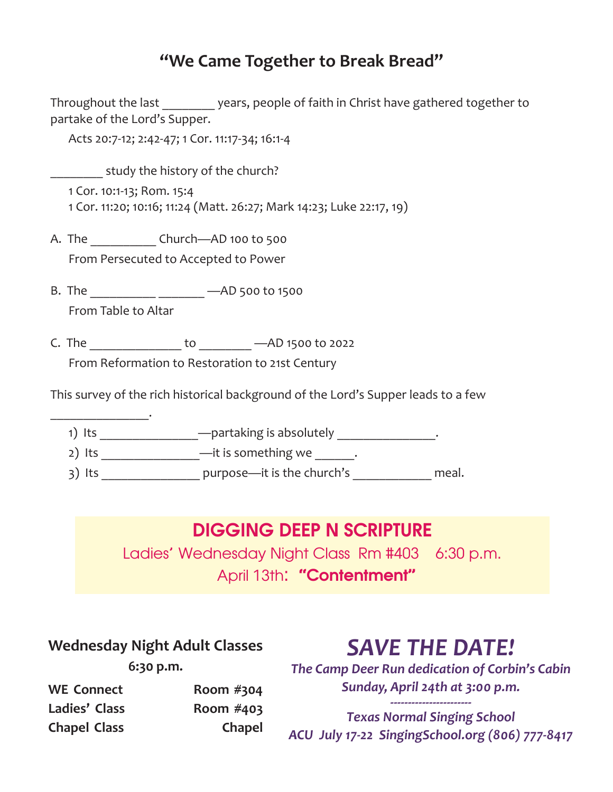# **"We Came Together to Break Bread"**

Throughout the last \_\_\_\_\_\_\_\_ years, people of faith in Christ have gathered together to partake of the Lord's Supper.

Acts 20:7-12; 2:42-47; 1 Cor. 11:17-34; 16:1-4

study the history of the church?

1 Cor. 10:1-13; Rom. 15:4 1 Cor. 11:20; 10:16; 11:24 (Matt. 26:27; Mark 14:23; Luke 22:17, 19)

A. The \_\_\_\_\_\_\_\_\_\_ Church---- AD 100 to 500 From Persecuted to Accepted to Power

B. The \_\_\_\_\_\_\_\_\_\_ \_\_\_\_\_\_\_ —AD 500 to 1500

From Table to Altar

 $\overline{\phantom{a}}$  , where  $\overline{\phantom{a}}$ 

C. The \_\_\_\_\_\_\_\_\_\_\_\_\_\_ to \_\_\_\_\_\_\_\_ —AD 1500 to 2022

From Reformation to Restoration to 21st Century

This survey of the rich historical background of the Lord's Supper leads to a few



# DIGGING DEEP N SCRIPTURE

Ladies' Wednesday Night Class Rm #403 6:30 p.m. April 13th: "Contentment"

| <b>Wednesday Night Adult Classes</b> |
|--------------------------------------|
| $6:30$ p.m.                          |

# *SAVE THE DATE!*

*The Camp Deer Run dedication of Corbin's Cabin Sunday, April 24th at 3:00 p.m.* 

| <b>WE Connect</b>   | Room $#304$ |
|---------------------|-------------|
| Ladies' Class       | Room $#403$ |
| <b>Chapel Class</b> | Chapel      |

## *----------------------- Texas Normal Singing School ACU July 17-22 SingingSchool.org (806) 777-8417*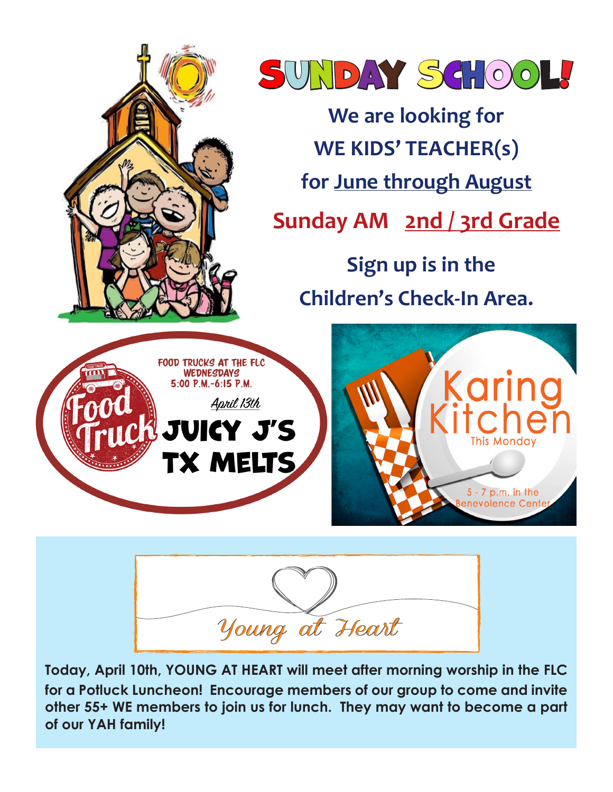



**Today, April 10th, YOUNG AT HEART will meet after morning worship in the FLC for a Potluck Luncheon! Encourage members of our group to come and invite other 55+ WE members to join us for lunch. They may want to become a part of our YAH family!**